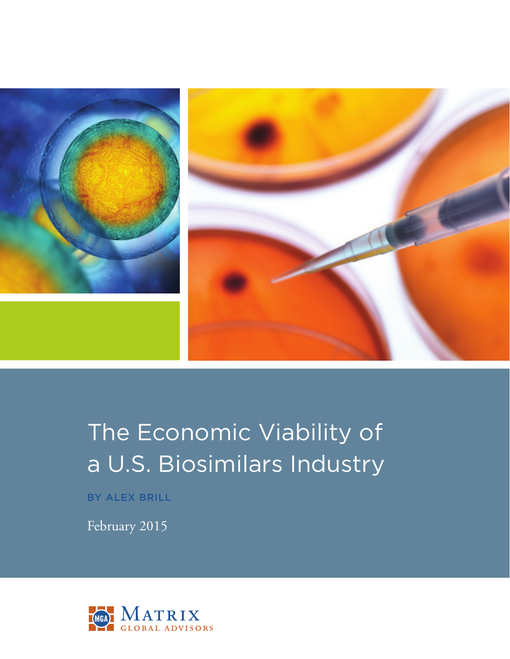

# The Economic Viability of a U.S. Biosimilars Industry

BY ALEX BRILL

February 2015

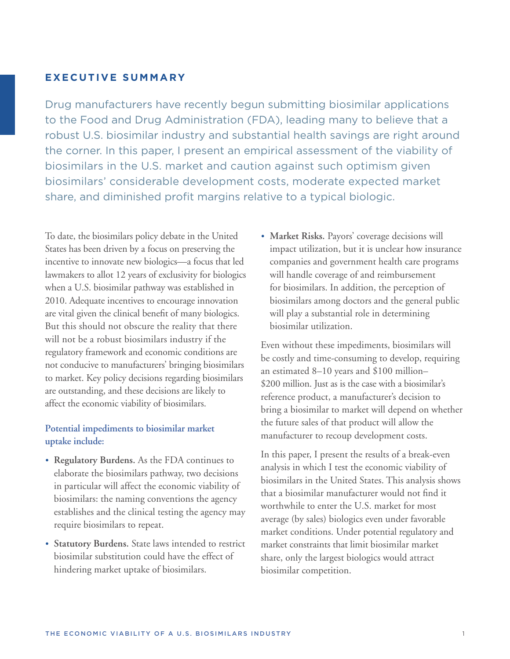## **EXECUTIVE SUMMARY**

Drug manufacturers have recently begun submitting biosimilar applications to the Food and Drug Administration (FDA), leading many to believe that a robust U.S. biosimilar industry and substantial health savings are right around the corner. In this paper, I present an empirical assessment of the viability of biosimilars in the U.S. market and caution against such optimism given biosimilars' considerable development costs, moderate expected market share, and diminished profit margins relative to a typical biologic.

To date, the biosimilars policy debate in the United States has been driven by a focus on preserving the incentive to innovate new biologics—a focus that led lawmakers to allot 12 years of exclusivity for biologics when a U.S. biosimilar pathway was established in 2010. Adequate incentives to encourage innovation are vital given the clinical benefit of many biologics. But this should not obscure the reality that there will not be a robust biosimilars industry if the regulatory framework and economic conditions are not conducive to manufacturers' bringing biosimilars to market. Key policy decisions regarding biosimilars are outstanding, and these decisions are likely to affect the economic viability of biosimilars.

## **Potential impediments to biosimilar market uptake include:**

- **• Regulatory Burdens.** As the FDA continues to elaborate the biosimilars pathway, two decisions in particular will affect the economic viability of biosimilars: the naming conventions the agency establishes and the clinical testing the agency may require biosimilars to repeat.
- **• Statutory Burdens.** State laws intended to restrict biosimilar substitution could have the effect of hindering market uptake of biosimilars.

**• Market Risks.** Payors' coverage decisions will impact utilization, but it is unclear how insurance companies and government health care programs will handle coverage of and reimbursement for biosimilars. In addition, the perception of biosimilars among doctors and the general public will play a substantial role in determining biosimilar utilization.

Even without these impediments, biosimilars will be costly and time-consuming to develop, requiring an estimated 8–10 years and \$100 million– \$200 million. Just as is the case with a biosimilar's reference product, a manufacturer's decision to bring a biosimilar to market will depend on whether the future sales of that product will allow the manufacturer to recoup development costs.

In this paper, I present the results of a break-even analysis in which I test the economic viability of biosimilars in the United States. This analysis shows that a biosimilar manufacturer would not find it worthwhile to enter the U.S. market for most average (by sales) biologics even under favorable market conditions. Under potential regulatory and market constraints that limit biosimilar market share, only the largest biologics would attract biosimilar competition.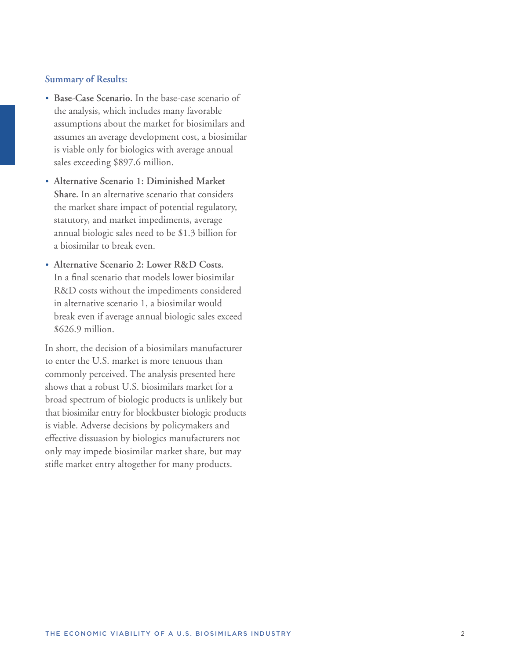#### **Summary of Results:**

- **• Base-Case Scenario.** In the base-case scenario of the analysis, which includes many favorable assumptions about the market for biosimilars and assumes an average development cost, a biosimilar is viable only for biologics with average annual sales exceeding \$897.6 million.
- **• Alternative Scenario 1: Diminished Market Share.** In an alternative scenario that considers the market share impact of potential regulatory, statutory, and market impediments, average annual biologic sales need to be \$1.3 billion for a biosimilar to break even.
- **• Alternative Scenario 2: Lower R&D Costs.**  In a final scenario that models lower biosimilar R&D costs without the impediments considered in alternative scenario 1, a biosimilar would break even if average annual biologic sales exceed \$626.9 million.

In short, the decision of a biosimilars manufacturer to enter the U.S. market is more tenuous than commonly perceived. The analysis presented here shows that a robust U.S. biosimilars market for a broad spectrum of biologic products is unlikely but that biosimilar entry for blockbuster biologic products is viable. Adverse decisions by policymakers and effective dissuasion by biologics manufacturers not only may impede biosimilar market share, but may stifle market entry altogether for many products.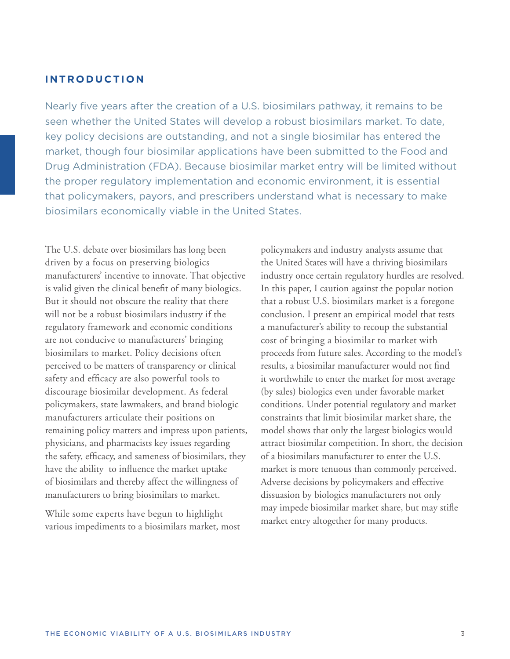## **I N T R O D U C T I O N**

Nearly five years after the creation of a U.S. biosimilars pathway, it remains to be seen whether the United States will develop a robust biosimilars market. To date, key policy decisions are outstanding, and not a single biosimilar has entered the market, though four biosimilar applications have been submitted to the Food and Drug Administration (FDA). Because biosimilar market entry will be limited without the proper regulatory implementation and economic environment, it is essential that policymakers, payors, and prescribers understand what is necessary to make biosimilars economically viable in the United States.

The U.S. debate over biosimilars has long been driven by a focus on preserving biologics manufacturers' incentive to innovate. That objective is valid given the clinical benefit of many biologics. But it should not obscure the reality that there will not be a robust biosimilars industry if the regulatory framework and economic conditions are not conducive to manufacturers' bringing biosimilars to market. Policy decisions often perceived to be matters of transparency or clinical safety and efficacy are also powerful tools to discourage biosimilar development. As federal policymakers, state lawmakers, and brand biologic manufacturers articulate their positions on remaining policy matters and impress upon patients, physicians, and pharmacists key issues regarding the safety, efficacy, and sameness of biosimilars, they have the ability to influence the market uptake of biosimilars and thereby affect the willingness of manufacturers to bring biosimilars to market.

While some experts have begun to highlight various impediments to a biosimilars market, most policymakers and industry analysts assume that the United States will have a thriving biosimilars industry once certain regulatory hurdles are resolved. In this paper, I caution against the popular notion that a robust U.S. biosimilars market is a foregone conclusion. I present an empirical model that tests a manufacturer's ability to recoup the substantial cost of bringing a biosimilar to market with proceeds from future sales. According to the model's results, a biosimilar manufacturer would not find it worthwhile to enter the market for most average (by sales) biologics even under favorable market conditions. Under potential regulatory and market constraints that limit biosimilar market share, the model shows that only the largest biologics would attract biosimilar competition. In short, the decision of a biosimilars manufacturer to enter the U.S. market is more tenuous than commonly perceived. Adverse decisions by policymakers and effective dissuasion by biologics manufacturers not only may impede biosimilar market share, but may stifle market entry altogether for many products.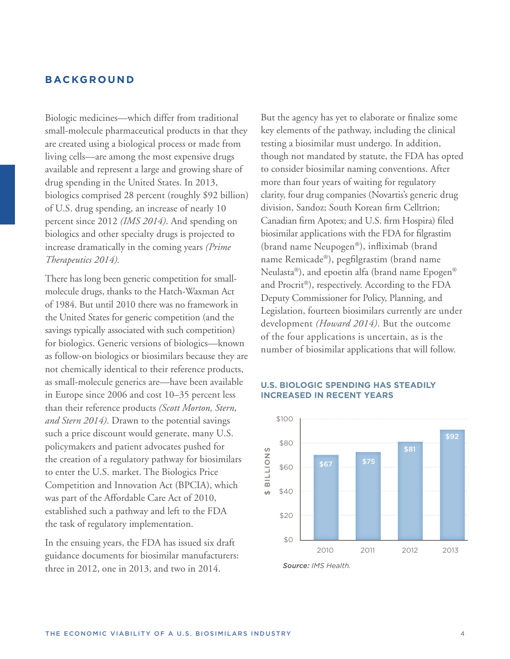## **BACKGROUND**

Biologic medicines—which differ from traditional small-molecule pharmaceutical products in that they are created using a biological process or made from living cells—are among the most expensive drugs available and represent a large and growing share of drug spending in the United States. In 2013, biologics comprised 28 percent (roughly \$92 billion) of U.S. drug spending, an increase of nearly 10 percent since 2012 *(IMS 2014)*. And spending on biologics and other specialty drugs is projected to increase dramatically in the coming years *(Prime Therapeutics 2014).*

There has long been generic competition for smallmolecule drugs, thanks to the Hatch-Waxman Act of 1984. But until 2010 there was no framework in the United States for generic competition (and the savings typically associated with such competition) for biologics. Generic versions of biologics—known as follow-on biologics or biosimilars because they are not chemically identical to their reference products, as small-molecule generics are—have been available in Europe since 2006 and cost 10–35 percent less than their reference products *(Scott Morton, Stern, and Stern 2014)*. Drawn to the potential savings such a price discount would generate, many U.S. policymakers and patient advocates pushed for the creation of a regulatory pathway for biosimilars to enter the U.S. market. The Biologics Price Competition and Innovation Act (BPCIA), which was part of the Affordable Care Act of 2010, established such a pathway and left to the FDA the task of regulatory implementation.

In the ensuing years, the FDA has issued six draft guidance documents for biosimilar manufacturers: three in 2012, one in 2013, and two in 2014.

But the agency has yet to elaborate or finalize some key elements of the pathway, including the clinical testing a biosimilar must undergo. In addition, though not mandated by statute, the FDA has opted to consider biosimilar naming conventions. After more than four years of waiting for regulatory clarity, four drug companies (Novartis's generic drug division, Sandoz; South Korean firm Celltrion; Canadian firm Apotex; and U.S. firm Hospira) filed biosimilar applications with the FDA for filgrastim (brand name Neupogen®), infliximab (brand name Remicade®), pegfilgrastim (brand name Neulasta®), and epoetin alfa (brand name Epogen® and Procrit®), respectively. According to the FDA Deputy Commissioner for Policy, Planning, and Legislation, fourteen biosimilars currently are under development *(Howard 2014)*. But the outcome of the four applications is uncertain, as is the number of biosimilar applications that will follow.

#### **U.S. BIOLOGIC SPENDING HAS STEADILY INCREASED IN RECENT YEARS**



*Source: IMS Health.*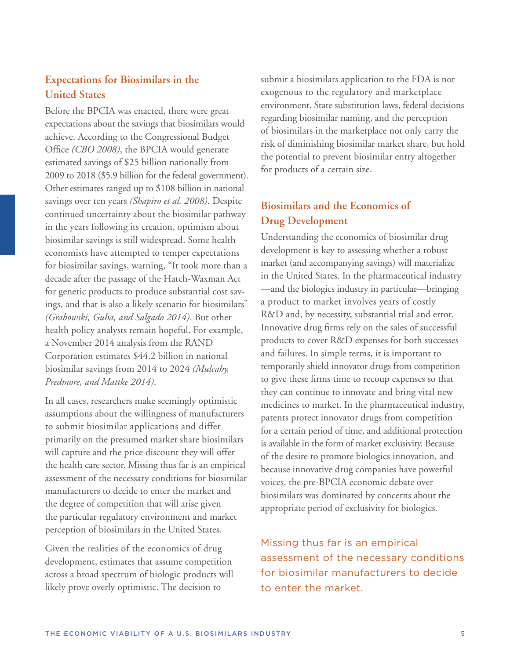# **Expectations for Biosimilars in the United States**

Before the BPCIA was enacted, there were great expectations about the savings that biosimilars would achieve. According to the Congressional Budget Office *(CBO 2008)*, the BPCIA would generate estimated savings of \$25 billion nationally from 2009 to 2018 (\$5.9 billion for the federal government). Other estimates ranged up to \$108 billion in national savings over ten years *(Shapiro et al. 2008)*. Despite continued uncertainty about the biosimilar pathway in the years following its creation, optimism about biosimilar savings is still widespread. Some health economists have attempted to temper expectations for biosimilar savings, warning, "It took more than a decade after the passage of the Hatch-Waxman Act for generic products to produce substantial cost savings, and that is also a likely scenario for biosimilars" *(Grabowski, Guha, and Salgado 2014)*. But other health policy analysts remain hopeful. For example, a November 2014 analysis from the RAND Corporation estimates \$44.2 billion in national biosimilar savings from 2014 to 2024 *(Mulcahy, Predmore, and Mattke 2014)*.

In all cases, researchers make seemingly optimistic assumptions about the willingness of manufacturers to submit biosimilar applications and differ primarily on the presumed market share biosimilars will capture and the price discount they will offer the health care sector. Missing thus far is an empirical assessment of the necessary conditions for biosimilar manufacturers to decide to enter the market and the degree of competition that will arise given the particular regulatory environment and market perception of biosimilars in the United States.

Given the realities of the economics of drug development, estimates that assume competition across a broad spectrum of biologic products will likely prove overly optimistic. The decision to

submit a biosimilars application to the FDA is not exogenous to the regulatory and marketplace environment. State substitution laws, federal decisions regarding biosimilar naming, and the perception of biosimilars in the marketplace not only carry the risk of diminishing biosimilar market share, but hold the potential to prevent biosimilar entry altogether for products of a certain size.

# **Biosimilars and the Economics of Drug Development**

Understanding the economics of biosimilar drug development is key to assessing whether a robust market (and accompanying savings) will materialize in the United States. In the pharmaceutical industry —and the biologics industry in particular—bringing a product to market involves years of costly R&D and, by necessity, substantial trial and error. Innovative drug firms rely on the sales of successful products to cover R&D expenses for both successes and failures. In simple terms, it is important to temporarily shield innovator drugs from competition to give these firms time to recoup expenses so that they can continue to innovate and bring vital new medicines to market. In the pharmaceutical industry, patents protect innovator drugs from competition for a certain period of time, and additional protection is available in the form of market exclusivity. Because of the desire to promote biologics innovation, and because innovative drug companies have powerful voices, the pre-BPCIA economic debate over biosimilars was dominated by concerns about the appropriate period of exclusivity for biologics.

Missing thus far is an empirical assessment of the necessary conditions for biosimilar manufacturers to decide to enter the market.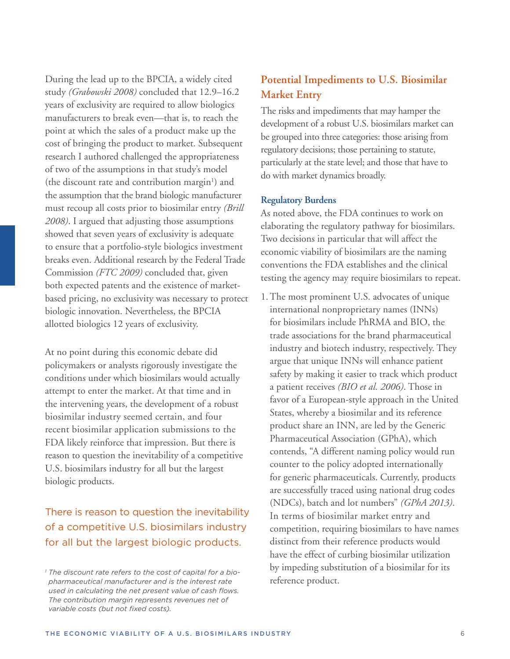During the lead up to the BPCIA, a widely cited study *(Grabowski 2008)* concluded that 12.9–16.2 years of exclusivity are required to allow biologics manufacturers to break even—that is, to reach the point at which the sales of a product make up the cost of bringing the product to market. Subsequent research I authored challenged the appropriateness of two of the assumptions in that study's model (the discount rate and contribution margin<sup>1</sup>) and the assumption that the brand biologic manufacturer must recoup all costs prior to biosimilar entry *(Brill 2008)*. I argued that adjusting those assumptions showed that seven years of exclusivity is adequate to ensure that a portfolio-style biologics investment breaks even. Additional research by the Federal Trade Commission *(FTC 2009)* concluded that, given both expected patents and the existence of marketbased pricing, no exclusivity was necessary to protect biologic innovation. Nevertheless, the BPCIA allotted biologics 12 years of exclusivity.

At no point during this economic debate did policymakers or analysts rigorously investigate the conditions under which biosimilars would actually attempt to enter the market. At that time and in the intervening years, the development of a robust biosimilar industry seemed certain, and four recent biosimilar application submissions to the FDA likely reinforce that impression. But there is reason to question the inevitability of a competitive U.S. biosimilars industry for all but the largest biologic products.

# There is reason to question the inevitability of a competitive U.S. biosimilars industry for all but the largest biologic products.

# **Potential Impediments to U.S. Biosimilar Market Entry**

The risks and impediments that may hamper the development of a robust U.S. biosimilars market can be grouped into three categories: those arising from regulatory decisions; those pertaining to statute, particularly at the state level; and those that have to do with market dynamics broadly.

## **Regulatory Burdens**

As noted above, the FDA continues to work on elaborating the regulatory pathway for biosimilars. Two decisions in particular that will affect the economic viability of biosimilars are the naming conventions the FDA establishes and the clinical testing the agency may require biosimilars to repeat.

1.The most prominent U.S. advocates of unique international nonproprietary names (INNs) for biosimilars include PhRMA and BIO, the trade associations for the brand pharmaceutical industry and biotech industry, respectively. They argue that unique INNs will enhance patient safety by making it easier to track which product a patient receives *(BIO et al. 2006)*. Those in favor of a European-style approach in the United States, whereby a biosimilar and its reference product share an INN, are led by the Generic Pharmaceutical Association (GPhA), which contends, "A different naming policy would run counter to the policy adopted internationally for generic pharmaceuticals. Currently, products are successfully traced using national drug codes (NDCs), batch and lot numbers" *(GPhA 2013)*. In terms of biosimilar market entry and competition, requiring biosimilars to have names distinct from their reference products would have the effect of curbing biosimilar utilization by impeding substitution of a biosimilar for its reference product.

*<sup>1</sup> The discount rate refers to the cost of capital for a biopharmaceutical manufacturer and is the interest rate used in calculating the net present value of cash flows. The contribution margin represents revenues net of variable costs (but not fixed costs).*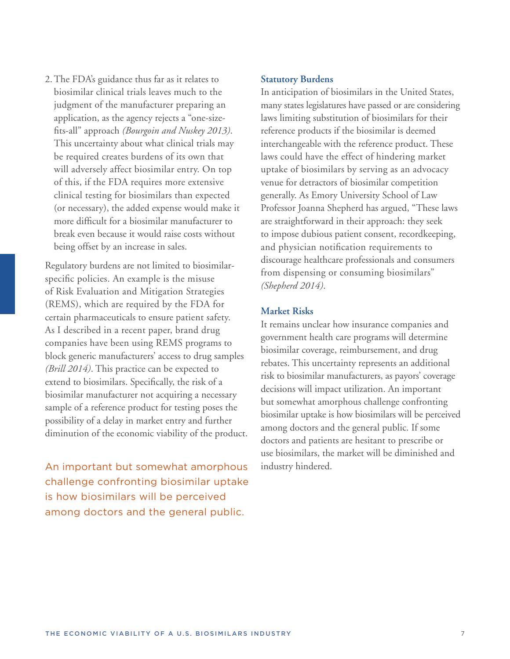2.The FDA's guidance thus far as it relates to biosimilar clinical trials leaves much to the judgment of the manufacturer preparing an application, as the agency rejects a "one-sizefits-all" approach *(Bourgoin and Nuskey 2013)*. This uncertainty about what clinical trials may be required creates burdens of its own that will adversely affect biosimilar entry. On top of this, if the FDA requires more extensive clinical testing for biosimilars than expected (or necessary), the added expense would make it more difficult for a biosimilar manufacturer to break even because it would raise costs without being offset by an increase in sales.

Regulatory burdens are not limited to biosimilarspecific policies. An example is the misuse of Risk Evaluation and Mitigation Strategies (REMS), which are required by the FDA for certain pharmaceuticals to ensure patient safety. As I described in a recent paper, brand drug companies have been using REMS programs to block generic manufacturers' access to drug samples *(Brill 2014)*. This practice can be expected to extend to biosimilars. Specifically, the risk of a biosimilar manufacturer not acquiring a necessary sample of a reference product for testing poses the possibility of a delay in market entry and further diminution of the economic viability of the product.

An important but somewhat amorphous challenge confronting biosimilar uptake is how biosimilars will be perceived among doctors and the general public.

#### **Statutory Burdens**

In anticipation of biosimilars in the United States, many states legislatures have passed or are considering laws limiting substitution of biosimilars for their reference products if the biosimilar is deemed interchangeable with the reference product. These laws could have the effect of hindering market uptake of biosimilars by serving as an advocacy venue for detractors of biosimilar competition generally. As Emory University School of Law Professor Joanna Shepherd has argued, "These laws are straightforward in their approach: they seek to impose dubious patient consent, recordkeeping, and physician notification requirements to discourage healthcare professionals and consumers from dispensing or consuming biosimilars" *(Shepherd 2014)*.

#### **Market Risks**

It remains unclear how insurance companies and government health care programs will determine biosimilar coverage, reimbursement, and drug rebates. This uncertainty represents an additional risk to biosimilar manufacturers, as payors' coverage decisions will impact utilization. An important but somewhat amorphous challenge confronting biosimilar uptake is how biosimilars will be perceived among doctors and the general public. If some doctors and patients are hesitant to prescribe or use biosimilars, the market will be diminished and industry hindered.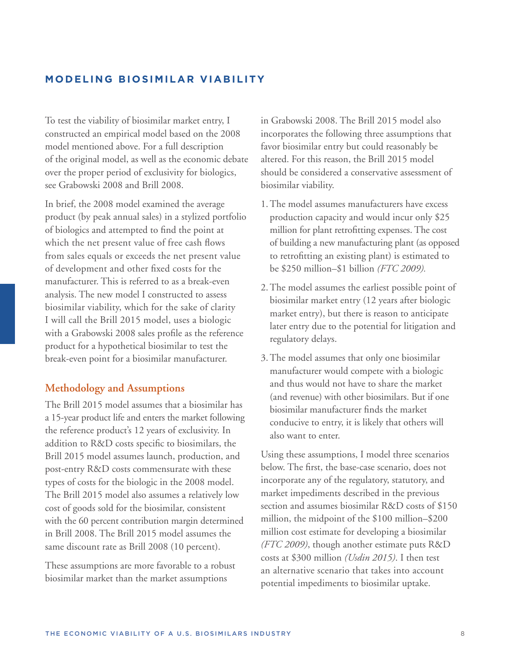# **MODELING BIOSIMILAR VIABILITY**

To test the viability of biosimilar market entry, I constructed an empirical model based on the 2008 model mentioned above. For a full description of the original model, as well as the economic debate over the proper period of exclusivity for biologics, see Grabowski 2008 and Brill 2008.

In brief, the 2008 model examined the average product (by peak annual sales) in a stylized portfolio of biologics and attempted to find the point at which the net present value of free cash flows from sales equals or exceeds the net present value of development and other fixed costs for the manufacturer. This is referred to as a break-even analysis. The new model I constructed to assess biosimilar viability, which for the sake of clarity I will call the Brill 2015 model, uses a biologic with a Grabowski 2008 sales profile as the reference product for a hypothetical biosimilar to test the break-even point for a biosimilar manufacturer.

## **Methodology and Assumptions**

The Brill 2015 model assumes that a biosimilar has a 15-year product life and enters the market following the reference product's 12 years of exclusivity. In addition to R&D costs specific to biosimilars, the Brill 2015 model assumes launch, production, and post-entry R&D costs commensurate with these types of costs for the biologic in the 2008 model. The Brill 2015 model also assumes a relatively low cost of goods sold for the biosimilar, consistent with the 60 percent contribution margin determined in Brill 2008. The Brill 2015 model assumes the same discount rate as Brill 2008 (10 percent).

These assumptions are more favorable to a robust biosimilar market than the market assumptions

in Grabowski 2008. The Brill 2015 model also incorporates the following three assumptions that favor biosimilar entry but could reasonably be altered. For this reason, the Brill 2015 model should be considered a conservative assessment of biosimilar viability.

- 1.The model assumes manufacturers have excess production capacity and would incur only \$25 million for plant retrofitting expenses. The cost of building a new manufacturing plant (as opposed to retrofitting an existing plant) is estimated to be \$250 million–\$1 billion *(FTC 2009).*
- 2.The model assumes the earliest possible point of biosimilar market entry (12 years after biologic market entry), but there is reason to anticipate later entry due to the potential for litigation and regulatory delays.
- 3.The model assumes that only one biosimilar manufacturer would compete with a biologic and thus would not have to share the market (and revenue) with other biosimilars. But if one biosimilar manufacturer finds the market conducive to entry, it is likely that others will also want to enter.

Using these assumptions, I model three scenarios below. The first, the base-case scenario, does not incorporate any of the regulatory, statutory, and market impediments described in the previous section and assumes biosimilar R&D costs of \$150 million, the midpoint of the \$100 million–\$200 million cost estimate for developing a biosimilar *(FTC 2009)*, though another estimate puts R&D costs at \$300 million *(Usdin 2015)*. I then test an alternative scenario that takes into account potential impediments to biosimilar uptake.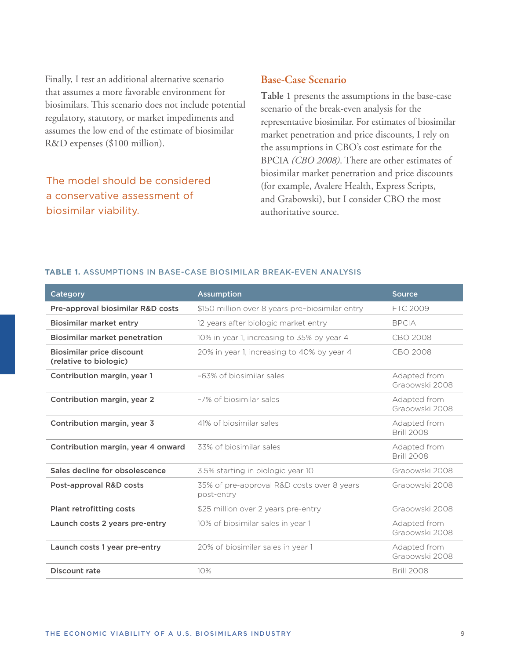Finally, I test an additional alternative scenario that assumes a more favorable environment for biosimilars. This scenario does not include potential regulatory, statutory, or market impediments and assumes the low end of the estimate of biosimilar R&D expenses (\$100 million).

The model should be considered a conservative assessment of biosimilar viability.

## **Base-Case Scenario**

**Table 1** presents the assumptions in the base-case scenario of the break-even analysis for the representative biosimilar. For estimates of biosimilar market penetration and price discounts, I rely on the assumptions in CBO's cost estimate for the BPCIA *(CBO 2008)*. There are other estimates of biosimilar market penetration and price discounts (for example, Avalere Health, Express Scripts, and Grabowski), but I consider CBO the most authoritative source.

#### **TABLE 1.** ASSUMPTIONS IN BASE-CASE BIOSIMILAR BREAK-EVEN ANALYSIS

| Category                                                   | <b>Assumption</b>                                        | <b>Source</b>                     |  |
|------------------------------------------------------------|----------------------------------------------------------|-----------------------------------|--|
| Pre-approval biosimilar R&D costs                          | \$150 million over 8 years pre-biosimilar entry          | FTC 2009                          |  |
| <b>Biosimilar market entry</b>                             | 12 years after biologic market entry                     | <b>BPCIA</b>                      |  |
| <b>Biosimilar market penetration</b>                       | 10% in year 1, increasing to 35% by year 4               | CBO 2008                          |  |
| <b>Biosimilar price discount</b><br>(relative to biologic) | 20% in year 1, increasing to 40% by year 4               | CBO 2008                          |  |
| Contribution margin, year 1                                | -63% of biosimilar sales                                 | Adapted from<br>Grabowski 2008    |  |
| Contribution margin, year 2                                | -7% of biosimilar sales                                  | Adapted from<br>Grabowski 2008    |  |
| Contribution margin, year 3                                | 41% of biosimilar sales                                  | Adapted from<br><b>Brill 2008</b> |  |
| Contribution margin, year 4 onward                         | 33% of biosimilar sales                                  | Adapted from<br><b>Brill 2008</b> |  |
| Sales decline for obsolescence                             | 3.5% starting in biologic year 10                        | Grabowski 2008                    |  |
| Post-approval R&D costs                                    | 35% of pre-approval R&D costs over 8 years<br>post-entry | Grabowski 2008                    |  |
| <b>Plant retrofitting costs</b>                            | \$25 million over 2 years pre-entry                      | Grabowski 2008                    |  |
| Launch costs 2 years pre-entry                             | 10% of biosimilar sales in year 1                        | Adapted from<br>Grabowski 2008    |  |
| Launch costs 1 year pre-entry                              | 20% of biosimilar sales in year 1                        | Adapted from<br>Grabowski 2008    |  |
| Discount rate                                              | 10%                                                      | <b>Brill 2008</b>                 |  |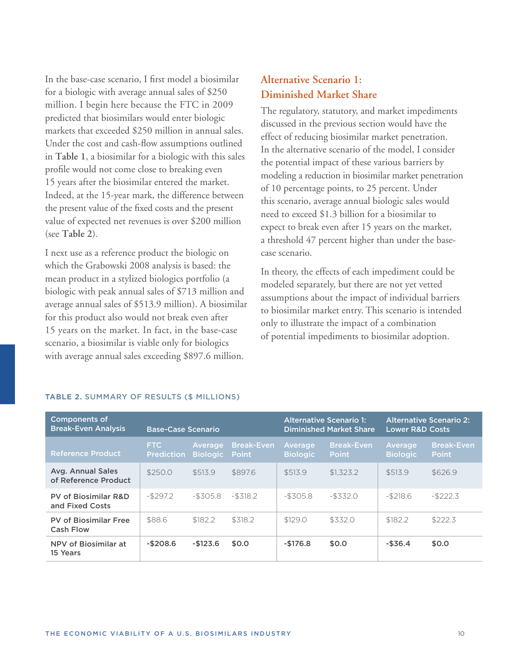In the base-case scenario, I first model a biosimilar for a biologic with average annual sales of \$250 million. I begin here because the FTC in 2009 predicted that biosimilars would enter biologic markets that exceeded \$250 million in annual sales. Under the cost and cash-flow assumptions outlined in **Table 1**, a biosimilar for a biologic with this sales profile would not come close to breaking even 15 years after the biosimilar entered the market. Indeed, at the 15-year mark, the difference between the present value of the fixed costs and the present value of expected net revenues is over \$200 million (see **Table 2**).

I next use as a reference product the biologic on which the Grabowski 2008 analysis is based: the mean product in a stylized biologics portfolio (a biologic with peak annual sales of \$713 million and average annual sales of \$513.9 million). A biosimilar for this product also would not break even after 15 years on the market. In fact, in the base-case scenario, a biosimilar is viable only for biologics with average annual sales exceeding \$897.6 million.

# **Alternative Scenario 1: Diminished Market Share**

The regulatory, statutory, and market impediments discussed in the previous section would have the effect of reducing biosimilar market penetration. In the alternative scenario of the model, I consider the potential impact of these various barriers by modeling a reduction in biosimilar market penetration of 10 percentage points, to 25 percent. Under this scenario, average annual biologic sales would need to exceed \$1.3 billion for a biosimilar to expect to break even after 15 years on the market, a threshold 47 percent higher than under the basecase scenario.

In theory, the effects of each impediment could be modeled separately, but there are not yet vetted assumptions about the impact of individual barriers to biosimilar market entry. This scenario is intended only to illustrate the impact of a combination of potential impediments to biosimilar adoption.

| <b>Components of</b><br><b>Break-Even Analysis</b> | <b>Base-Case Scenario</b>       |                            |                                   | <b>Alternative Scenario 1:</b><br><b>Diminished Market Share</b> |                                   | <b>Alternative Scenario 2:</b><br><b>Lower R&amp;D Costs</b> |                                   |
|----------------------------------------------------|---------------------------------|----------------------------|-----------------------------------|------------------------------------------------------------------|-----------------------------------|--------------------------------------------------------------|-----------------------------------|
| <b>Reference Product</b>                           | <b>FTC</b><br><b>Prediction</b> | Average<br><b>Biologic</b> | <b>Break-Even</b><br><b>Point</b> | Average<br><b>Biologic</b>                                       | <b>Break-Even</b><br><b>Point</b> | Average<br><b>Biologic</b>                                   | <b>Break-Even</b><br><b>Point</b> |
| Avg. Annual Sales<br>of Reference Product          | \$250.0                         | \$513.9                    | \$897.6                           | \$513.9                                                          | \$1.323.2                         | \$513.9                                                      | \$626.9                           |
| <b>PV of Biosimilar R&amp;D</b><br>and Fixed Costs | $-$297.2$                       | $-$ \$305.8                | $-$ \$318.2                       | $-$ \$305.8                                                      | $-$ \$332.0                       | $-$ \$218.6                                                  | $-$ \$222.3                       |
| <b>PV of Biosimilar Free</b><br><b>Cash Flow</b>   | \$88.6                          | \$182.2                    | \$318.2                           | \$129.0                                                          | \$332.0                           | \$182.2                                                      | \$222.3                           |
| NPV of Biosimilar at<br>15 Years                   | $-$208.6$                       | $-$123.6$                  | \$0.0                             | $-$176.8$                                                        | \$0.0                             | $-$ \$36.4                                                   | \$0.0                             |

#### **TABLE 2.** SUMMARY OF RESULTS (\$ MILLIONS)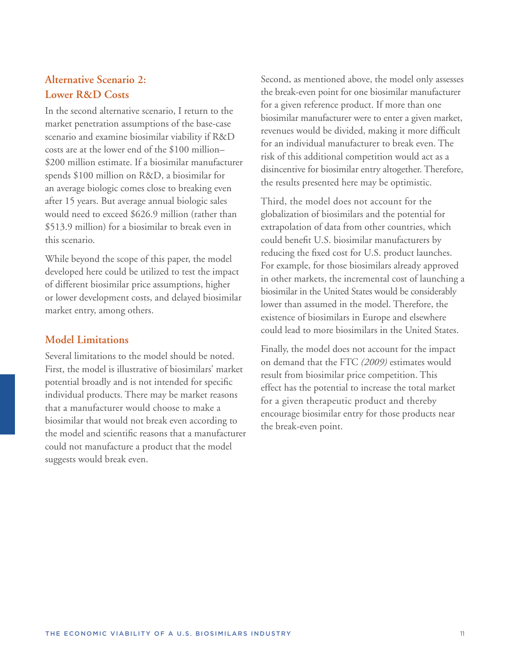# **Alternative Scenario 2: Lower R&D Costs**

In the second alternative scenario, I return to the market penetration assumptions of the base-case scenario and examine biosimilar viability if R&D costs are at the lower end of the \$100 million– \$200 million estimate. If a biosimilar manufacturer spends \$100 million on R&D, a biosimilar for an average biologic comes close to breaking even after 15 years. But average annual biologic sales would need to exceed \$626.9 million (rather than \$513.9 million) for a biosimilar to break even in this scenario.

While beyond the scope of this paper, the model developed here could be utilized to test the impact of different biosimilar price assumptions, higher or lower development costs, and delayed biosimilar market entry, among others.

## **Model Limitations**

Several limitations to the model should be noted. First, the model is illustrative of biosimilars' market potential broadly and is not intended for specific individual products. There may be market reasons that a manufacturer would choose to make a biosimilar that would not break even according to the model and scientific reasons that a manufacturer could not manufacture a product that the model suggests would break even.

Second, as mentioned above, the model only assesses the break-even point for one biosimilar manufacturer for a given reference product. If more than one biosimilar manufacturer were to enter a given market, revenues would be divided, making it more difficult for an individual manufacturer to break even. The risk of this additional competition would act as a disincentive for biosimilar entry altogether. Therefore, the results presented here may be optimistic.

Third, the model does not account for the globalization of biosimilars and the potential for extrapolation of data from other countries, which could benefit U.S. biosimilar manufacturers by reducing the fixed cost for U.S. product launches. For example, for those biosimilars already approved in other markets, the incremental cost of launching a biosimilar in the United States would be considerably lower than assumed in the model. Therefore, the existence of biosimilars in Europe and elsewhere could lead to more biosimilars in the United States.

Finally, the model does not account for the impact on demand that the FTC *(2009)* estimates would result from biosimilar price competition. This effect has the potential to increase the total market for a given therapeutic product and thereby encourage biosimilar entry for those products near the break-even point.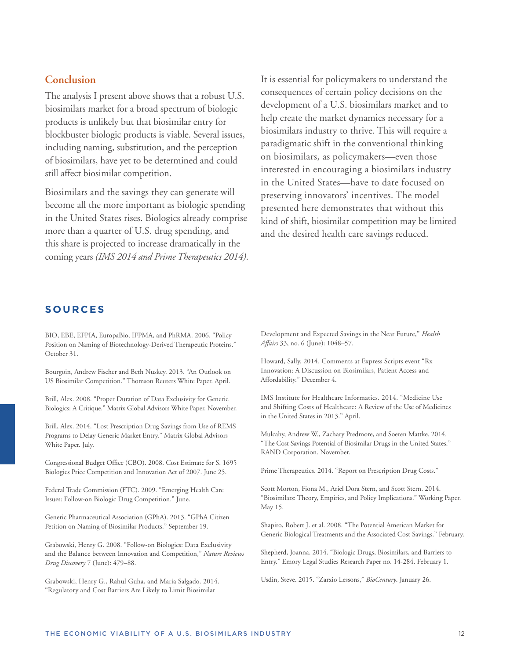# **Conclusion**

The analysis I present above shows that a robust U.S. biosimilars market for a broad spectrum of biologic products is unlikely but that biosimilar entry for blockbuster biologic products is viable. Several issues, including naming, substitution, and the perception of biosimilars, have yet to be determined and could still affect biosimilar competition.

Biosimilars and the savings they can generate will become all the more important as biologic spending in the United States rises. Biologics already comprise more than a quarter of U.S. drug spending, and this share is projected to increase dramatically in the coming years *(IMS 2014 and Prime Therapeutics 2014)*. It is essential for policymakers to understand the consequences of certain policy decisions on the development of a U.S. biosimilars market and to help create the market dynamics necessary for a biosimilars industry to thrive. This will require a paradigmatic shift in the conventional thinking on biosimilars, as policymakers—even those interested in encouraging a biosimilars industry in the United States—have to date focused on preserving innovators' incentives. The model presented here demonstrates that without this kind of shift, biosimilar competition may be limited and the desired health care savings reduced.

#### **S O U R C E S**

BIO, EBE, EFPIA, EuropaBio, IFPMA, and PhRMA. 2006. "Policy Position on Naming of Biotechnology-Derived Therapeutic Proteins." October 31.

Bourgoin, Andrew Fischer and Beth Nuskey. 2013. "An Outlook on US Biosimilar Competition." Thomson Reuters White Paper. April.

Brill, Alex. 2008. "Proper Duration of Data Exclusivity for Generic Biologics: A Critique." Matrix Global Advisors White Paper. November.

Brill, Alex. 2014. "Lost Prescription Drug Savings from Use of REMS Programs to Delay Generic Market Entry." Matrix Global Advisors White Paper. July.

Congressional Budget Office (CBO). 2008. Cost Estimate for S. 1695 Biologics Price Competition and Innovation Act of 2007. June 25.

Federal Trade Commission (FTC). 2009. "Emerging Health Care Issues: Follow-on Biologic Drug Competition." June.

Generic Pharmaceutical Association (GPhA). 2013. "GPhA Citizen Petition on Naming of Biosimilar Products." September 19.

Grabowski, Henry G. 2008. "Follow-on Biologics: Data Exclusivity and the Balance between Innovation and Competition," *Nature Reviews Drug Discovery* 7 (June): 479–88.

Grabowski, Henry G., Rahul Guha, and Maria Salgado. 2014. "Regulatory and Cost Barriers Are Likely to Limit Biosimilar

Development and Expected Savings in the Near Future," *Health Affairs* 33, no. 6 (June): 1048–57.

Howard, Sally. 2014. Comments at Express Scripts event "Rx Innovation: A Discussion on Biosimilars, Patient Access and Affordability." December 4.

IMS Institute for Healthcare Informatics. 2014. "Medicine Use and Shifting Costs of Healthcare: A Review of the Use of Medicines in the United States in 2013." April.

Mulcahy, Andrew W., Zachary Predmore, and Soeren Mattke. 2014. "The Cost Savings Potential of Biosimilar Drugs in the United States." RAND Corporation. November.

Prime Therapeutics. 2014. "Report on Prescription Drug Costs."

Scott Morton, Fiona M., Ariel Dora Stern, and Scott Stern. 2014. "Biosimilars: Theory, Empirics, and Policy Implications." Working Paper. May 15.

Shapiro, Robert J. et al. 2008. "The Potential American Market for Generic Biological Treatments and the Associated Cost Savings." February.

Shepherd, Joanna. 2014. "Biologic Drugs, Biosimilars, and Barriers to Entry." Emory Legal Studies Research Paper no. 14-284. February 1.

Usdin, Steve. 2015. "Zarxio Lessons," *BioCentury*. January 26.